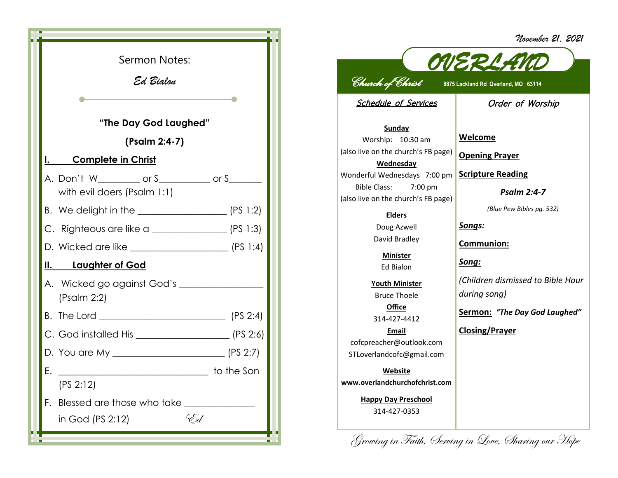*November 21, 2021*

|                                                  | <u>Sermon Notes:</u><br>Ed Bialon                                                                              |  |
|--------------------------------------------------|----------------------------------------------------------------------------------------------------------------|--|
| <u>I. Complete in Christ</u>                     | "The Day God Laughed"<br>(Psalm 2:4-7)                                                                         |  |
|                                                  | A. Don't W__________ or S__________ or S_______<br>with evil doers (Psalm 1:1)                                 |  |
|                                                  |                                                                                                                |  |
| C. Righteous are like a $\qquad \qquad$ (PS 1:3) |                                                                                                                |  |
|                                                  |                                                                                                                |  |
| <u>II. Laughter of God</u>                       |                                                                                                                |  |
| (Psalm 2:2)                                      | A. Wicked go against God's ________________                                                                    |  |
|                                                  |                                                                                                                |  |
|                                                  |                                                                                                                |  |
|                                                  |                                                                                                                |  |
| Е.<br>(PS 2:12)                                  | to the Son and the Son and the Son and the Son and the Son and the Son and the Son and the Son and the Son and |  |
| F.<br>in God (PS 2:12)                           | Blessed are those who take<br>'Ed                                                                              |  |

*OVERLAND Church of Christ* **8875 Lackland Rd Overland, MO 63114**  Schedule of Services **Sunday** Worship: 10:30 am (also live on the church's FB page) **Wednesday** Wonderful Wednesdays 7:00 pm Bible Class: 7:00 pm (also live on the church's FB page) **Elders** Doug Azwell David Bradley **Minister** Ed Bialon **Youth Minister** Bruce Thoele **Office** 314-427-4412 **Email** cofcpreacher@outlook.com STLoverlandcofc@gmail.com **Website www.overlandchurchofchrist.com Happy Day Preschool** 314-427-0353 Order of Worship **Welcome Opening Prayer Scripture Reading** *Psalm 2:4-7 (Blue Pew Bibles pg. 532) Songs:* **Communion:** *Song: (Children dismissed to Bible Hour during song)* **Sermon:** *"The Day God Laughed"* **Closing/Prayer**

Growing in Faith, Serving in Love, Sharing our Hope